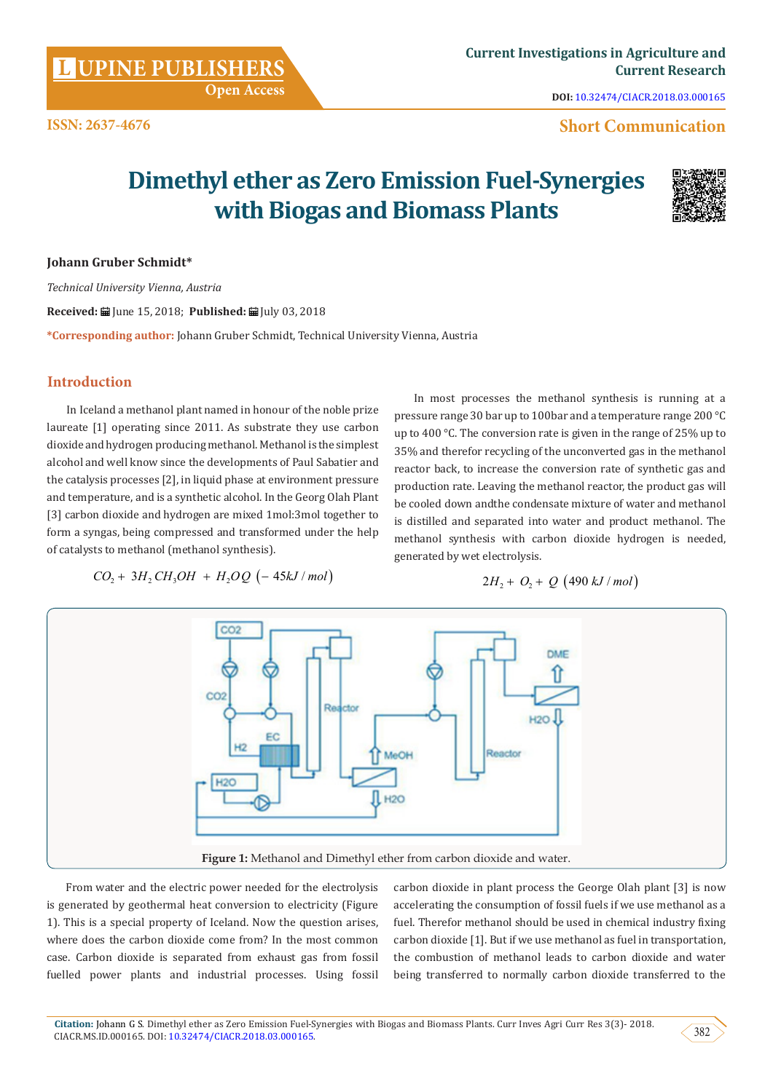**[UPINE PUBLISHERS](http://www.lupinepublishers.com/)** 

**DOI:** [10.32474/CIACR.2018.03.000165](http://dx.doi.org/10.32474/CIACR.2018.03.000165)

# **Short Communication**

# **Dimethyl ether as Zero Emission Fuel-Synergies with Biogas and Biomass Plants**



#### **Johann Gruber Schmidt\***

*Technical University Vienna, Austria*

Received: **■** June 15, 2018; Published: ■ July 03, 2018

**\*Corresponding author:** Johann Gruber Schmidt, Technical University Vienna, Austria

 **Open Access**

## **Introduction**

In Iceland a methanol plant named in honour of the noble prize laureate [1] operating since 2011. As substrate they use carbon dioxide and hydrogen producing methanol. Methanol is the simplest alcohol and well know since the developments of Paul Sabatier and the catalysis processes [2], in liquid phase at environment pressure and temperature, and is a synthetic alcohol. In the Georg Olah Plant [3] carbon dioxide and hydrogen are mixed 1mol:3mol together to form a syngas, being compressed and transformed under the help of catalysts to methanol (methanol synthesis).

In most processes the methanol synthesis is running at a pressure range 30 bar up to 100bar and a temperature range 200 °C up to 400 °C. The conversion rate is given in the range of 25% up to 35% and therefor recycling of the unconverted gas in the methanol reactor back, to increase the conversion rate of synthetic gas and production rate. Leaving the methanol reactor, the product gas will be cooled down andthe condensate mixture of water and methanol is distilled and separated into water and product methanol. The methanol synthesis with carbon dioxide hydrogen is needed, generated by wet electrolysis.

$$
CO_2 + 3H_2CH_3OH + H_2OQ \left(-45kJ/mol\right)
$$

 $2H_2 + O_2 + Q$  (490 kJ/mol)



From water and the electric power needed for the electrolysis is generated by geothermal heat conversion to electricity (Figure 1). This is a special property of Iceland. Now the question arises, where does the carbon dioxide come from? In the most common case. Carbon dioxide is separated from exhaust gas from fossil fuelled power plants and industrial processes. Using fossil

carbon dioxide in plant process the George Olah plant [3] is now accelerating the consumption of fossil fuels if we use methanol as a fuel. Therefor methanol should be used in chemical industry fixing carbon dioxide [1]. But if we use methanol as fuel in transportation, the combustion of methanol leads to carbon dioxide and water being transferred to normally carbon dioxide transferred to the

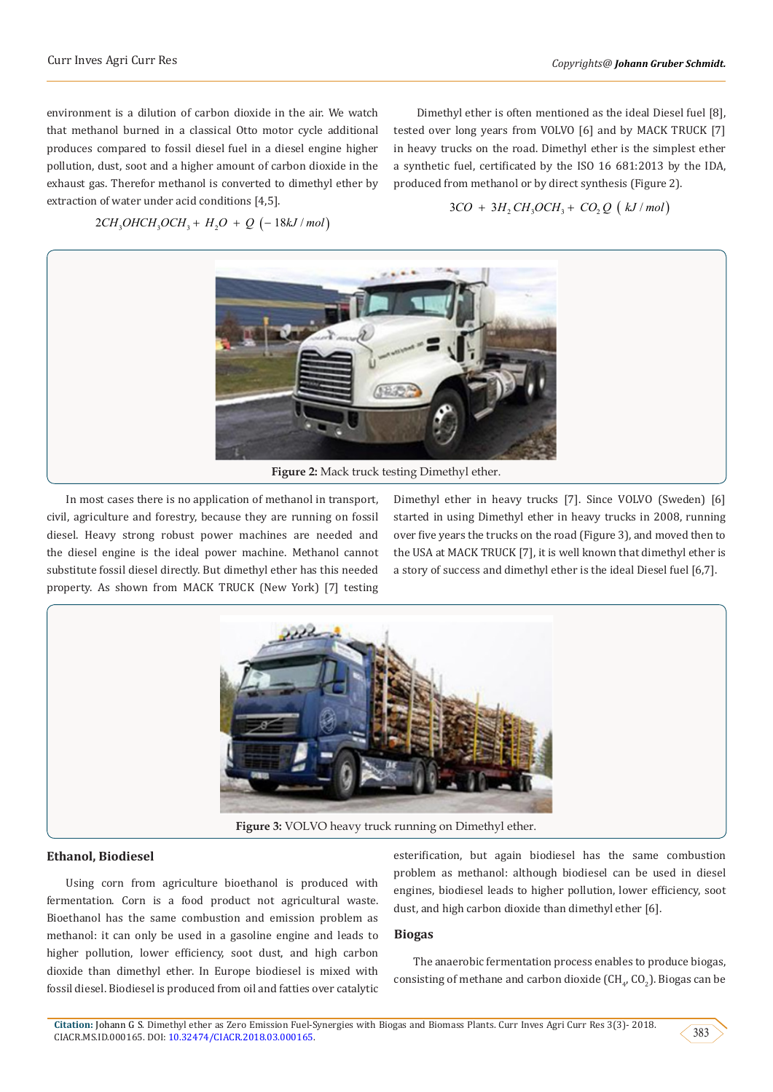environment is a dilution of carbon dioxide in the air. We watch that methanol burned in a classical Otto motor cycle additional produces compared to fossil diesel fuel in a diesel engine higher pollution, dust, soot and a higher amount of carbon dioxide in the exhaust gas. Therefor methanol is converted to dimethyl ether by extraction of water under acid conditions [4,5].

 Dimethyl ether is often mentioned as the ideal Diesel fuel [8], tested over long years from VOLVO [6] and by MACK TRUCK [7] in heavy trucks on the road. Dimethyl ether is the simplest ether a synthetic fuel, certificated by the ISO 16 681:2013 by the IDA, produced from methanol or by direct synthesis (Figure 2).

 $2CH_3OHCH_3OCH_3 + H_2O + Q$  (-18kJ / mol)





In most cases there is no application of methanol in transport, civil, agriculture and forestry, because they are running on fossil diesel. Heavy strong robust power machines are needed and the diesel engine is the ideal power machine. Methanol cannot substitute fossil diesel directly. But dimethyl ether has this needed property. As shown from MACK TRUCK (New York) [7] testing

Dimethyl ether in heavy trucks [7]. Since VOLVO (Sweden) [6] started in using Dimethyl ether in heavy trucks in 2008, running over five years the trucks on the road (Figure 3), and moved then to the USA at MACK TRUCK [7], it is well known that dimethyl ether is a story of success and dimethyl ether is the ideal Diesel fuel [6,7].



#### **Ethanol, Biodiesel**

Using corn from agriculture bioethanol is produced with fermentation. Corn is a food product not agricultural waste. Bioethanol has the same combustion and emission problem as methanol: it can only be used in a gasoline engine and leads to higher pollution, lower efficiency, soot dust, and high carbon dioxide than dimethyl ether. In Europe biodiesel is mixed with fossil diesel. Biodiesel is produced from oil and fatties over catalytic esterification, but again biodiesel has the same combustion problem as methanol: although biodiesel can be used in diesel engines, biodiesel leads to higher pollution, lower efficiency, soot dust, and high carbon dioxide than dimethyl ether [6].

#### **Biogas**

The anaerobic fermentation process enables to produce biogas, consisting of methane and carbon dioxide  $(\text{CH}_{4}, \text{CO}_{2})$ . Biogas can be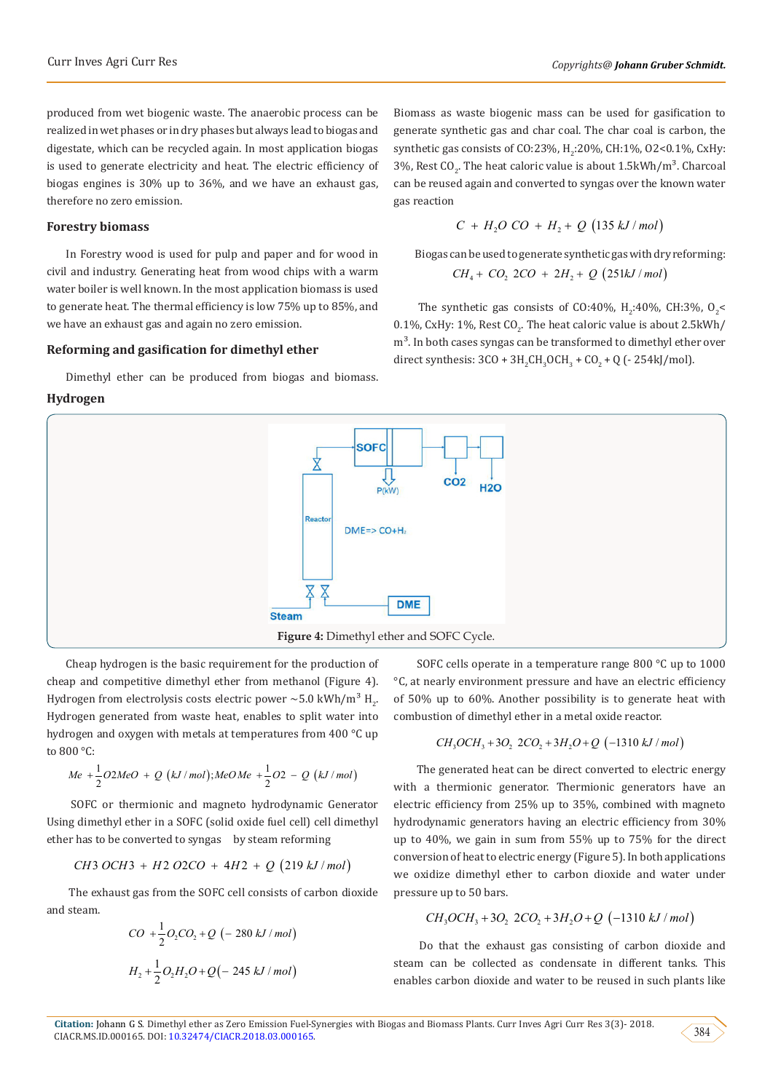produced from wet biogenic waste. The anaerobic process can be realized in wet phases or in dry phases but always lead to biogas and digestate, which can be recycled again. In most application biogas is used to generate electricity and heat. The electric efficiency of biogas engines is 30% up to 36%, and we have an exhaust gas, therefore no zero emission.

## **Forestry biomass**

In Forestry wood is used for pulp and paper and for wood in civil and industry. Generating heat from wood chips with a warm water boiler is well known. In the most application biomass is used to generate heat. The thermal efficiency is low 75% up to 85%, and we have an exhaust gas and again no zero emission.

## **Reforming and gasification for dimethyl ether**

Dimethyl ether can be produced from biogas and biomass.

#### **Hydrogen**



Cheap hydrogen is the basic requirement for the production of cheap and competitive dimethyl ether from methanol (Figure 4). Hydrogen from electrolysis costs electric power  $\sim$ 5.0 kWh/m $^{\circ}$  H<sub>2</sub>. Hydrogen generated from waste heat, enables to split water into hydrogen and oxygen with metals at temperatures from 400 °C up to 800 °C:

$$
Me + \frac{1}{2}O2MeO + Q(kJ/mol); MeOMe + \frac{1}{2}O2 - Q(kJ/mol)
$$

 SOFC or thermionic and magneto hydrodynamic Generator Using dimethyl ether in a SOFC (solid oxide fuel cell) cell dimethyl ether has to be converted to syngas by steam reforming

*CH OCH H O CO H Q kJ mol* 3 3 2 2 4 2 219 / + ++ ( )

 The exhaust gas from the SOFC cell consists of carbon dioxide and steam.

$$
CO + \frac{1}{2}O_2CO_2 + Q \left(-280 \, kJ \, / \, mol\right)
$$
\n
$$
H_2 + \frac{1}{2}O_2H_2O + Q\left(-245 \, kJ \, / \, mol\right)
$$

 SOFC cells operate in a temperature range 800 °C up to 1000 °C, at nearly environment pressure and have an electric efficiency of 50% up to 60%. Another possibility is to generate heat with combustion of dimethyl ether in a metal oxide reactor.

$$
CH_3OCH_3 + 3O_2 2CO_2 + 3H_2O + Q (-1310 kJ/mol)
$$

 The generated heat can be direct converted to electric energy with a thermionic generator. Thermionic generators have an electric efficiency from 25% up to 35%, combined with magneto hydrodynamic generators having an electric efficiency from 30% up to 40%, we gain in sum from 55% up to 75% for the direct conversion of heat to electric energy (Figure 5). In both applications we oxidize dimethyl ether to carbon dioxide and water under pressure up to 50 bars.

$$
CH_3OCH_3 + 3O_2 2CO_2 + 3H_2O + Q (-1310 kJ/mol)
$$

 Do that the exhaust gas consisting of carbon dioxide and steam can be collected as condensate in different tanks. This enables carbon dioxide and water to be reused in such plants like



Biomass as waste biogenic mass can be used for gasification to generate synthetic gas and char coal. The char coal is carbon, the synthetic gas consists of CO:23%, H<sub>2</sub>:20%, CH:1%, O2<0.1%, CxHy: 3%, Rest CO<sub>2</sub>. The heat caloric value is about  $1.5{\rm kW}$ h/m $^3$ . Charcoal can be reused again and converted to syngas over the known water gas reaction

$$
C + H_2O\ CO + H_2 + Q\ (135\ kJ/mol)
$$

 Biogas can be used to generate synthetic gas with dry reforming:  $CH_4 + CO_2$  2CO + 2H<sub>2</sub> + Q (251kJ / mol)

The synthetic gas consists of CO:40%,  $H_2$ :40%, CH:3%, O<sub>2</sub><  $0.1\%$ , CxHy:  $1\%$ , Rest CO<sub>2</sub>. The heat caloric value is about 2.5kWh/  $m<sup>3</sup>$ . In both cases syngas can be transformed to dimethyl ether over direct synthesis:  $3CO + 3H_2CH_3OCH_3 + CO_2 + Q$  (- 254kJ/mol).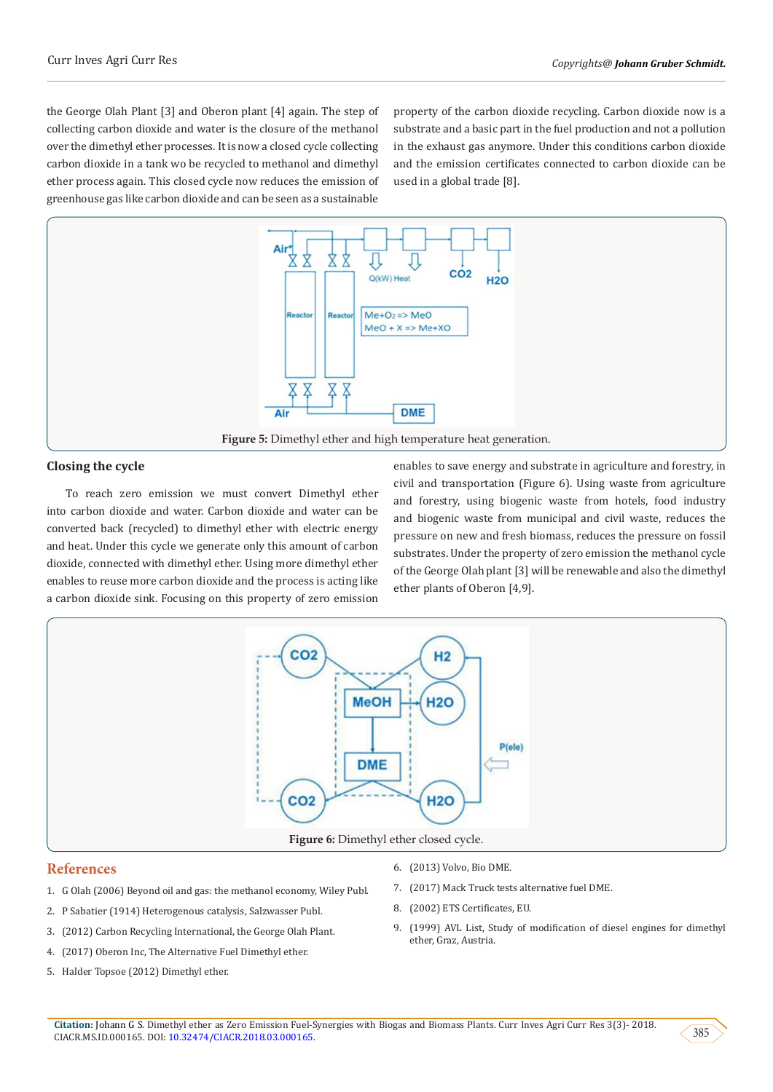the George Olah Plant [3] and Oberon plant [4] again. The step of collecting carbon dioxide and water is the closure of the methanol over the dimethyl ether processes. It is now a closed cycle collecting carbon dioxide in a tank wo be recycled to methanol and dimethyl ether process again. This closed cycle now reduces the emission of greenhouse gas like carbon dioxide and can be seen as a sustainable

property of the carbon dioxide recycling. Carbon dioxide now is a substrate and a basic part in the fuel production and not a pollution in the exhaust gas anymore. Under this conditions carbon dioxide and the emission certificates connected to carbon dioxide can be used in a global trade [8].



## **Closing the cycle**

To reach zero emission we must convert Dimethyl ether into carbon dioxide and water. Carbon dioxide and water can be converted back (recycled) to dimethyl ether with electric energy and heat. Under this cycle we generate only this amount of carbon dioxide, connected with dimethyl ether. Using more dimethyl ether enables to reuse more carbon dioxide and the process is acting like a carbon dioxide sink. Focusing on this property of zero emission

enables to save energy and substrate in agriculture and forestry, in civil and transportation (Figure 6). Using waste from agriculture and forestry, using biogenic waste from hotels, food industry and biogenic waste from municipal and civil waste, reduces the pressure on new and fresh biomass, reduces the pressure on fossil substrates. Under the property of zero emission the methanol cycle of the George Olah plant [3] will be renewable and also the dimethyl ether plants of Oberon [4,9].



#### **References**

- 1. G Olah (2006) Beyond oil and gas: the methanol economy, Wiley Publ.
- 2. [P Sabatier \(1914\) Heterogenous catalysis, Salzwasser Publ.](https://en.wikipedia.org/wiki/Heterogeneous_catalysis)
- 3. (2012) Carbon Recycling International, the George Olah Plant.
- 4. (2017) Oberon Inc, The Alternative Fuel Dimethyl ether.
- 5. Halder Topsoe (2012) Dimethyl ether.
- 6. (2013) Volvo, Bio DME.
- 7. (2017) Mack Truck tests alternative fuel DME.
- 8. (2002) ETS Certificates, EU.
- 9. (1999) AVL List, Study of modification of diesel engines for dimethyl ether, Graz, Austria.